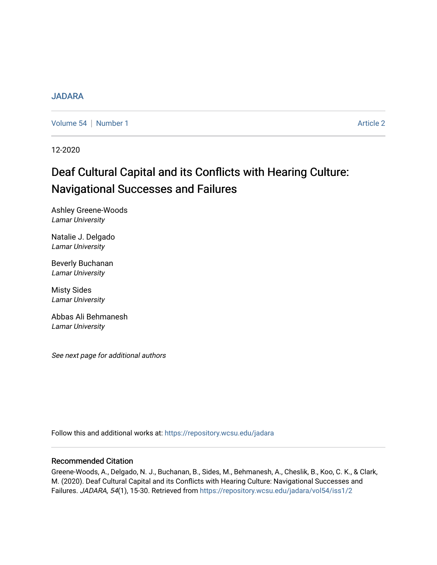## [JADARA](https://repository.wcsu.edu/jadara)

[Volume 54](https://repository.wcsu.edu/jadara/vol54) | [Number 1](https://repository.wcsu.edu/jadara/vol54/iss1) Article 2

12-2020

# Deaf Cultural Capital and its Conflicts with Hearing Culture: Navigational Successes and Failures

Ashley Greene-Woods Lamar University

Natalie J. Delgado Lamar University

Beverly Buchanan Lamar University

Misty Sides Lamar University

Abbas Ali Behmanesh Lamar University

See next page for additional authors

Follow this and additional works at: [https://repository.wcsu.edu/jadara](https://repository.wcsu.edu/jadara?utm_source=repository.wcsu.edu%2Fjadara%2Fvol54%2Fiss1%2F2&utm_medium=PDF&utm_campaign=PDFCoverPages)

## Recommended Citation

Greene-Woods, A., Delgado, N. J., Buchanan, B., Sides, M., Behmanesh, A., Cheslik, B., Koo, C. K., & Clark, M. (2020). Deaf Cultural Capital and its Conflicts with Hearing Culture: Navigational Successes and Failures. JADARA, 54(1), 15-30. Retrieved from [https://repository.wcsu.edu/jadara/vol54/iss1/2](https://repository.wcsu.edu/jadara/vol54/iss1/2?utm_source=repository.wcsu.edu%2Fjadara%2Fvol54%2Fiss1%2F2&utm_medium=PDF&utm_campaign=PDFCoverPages)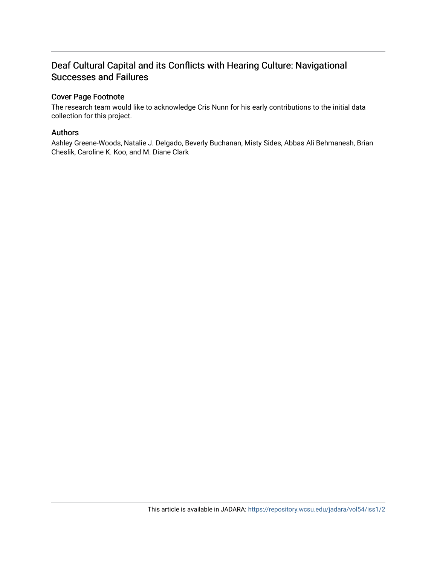# Deaf Cultural Capital and its Conflicts with Hearing Culture: Navigational Successes and Failures

## Cover Page Footnote

The research team would like to acknowledge Cris Nunn for his early contributions to the initial data collection for this project.

## Authors

Ashley Greene-Woods, Natalie J. Delgado, Beverly Buchanan, Misty Sides, Abbas Ali Behmanesh, Brian Cheslik, Caroline K. Koo, and M. Diane Clark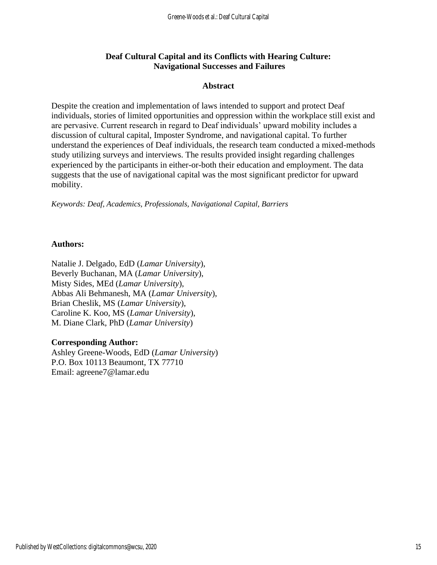# **Deaf Cultural Capital and its Conflicts with Hearing Culture: Navigational Successes and Failures**

## **Abstract**

Despite the creation and implementation of laws intended to support and protect Deaf individuals, stories of limited opportunities and oppression within the workplace still exist and are pervasive. Current research in regard to Deaf individuals' upward mobility includes a discussion of cultural capital, Imposter Syndrome, and navigational capital. To further understand the experiences of Deaf individuals, the research team conducted a mixed-methods study utilizing surveys and interviews. The results provided insight regarding challenges experienced by the participants in either-or-both their education and employment. The data suggests that the use of navigational capital was the most significant predictor for upward mobility.

*Keywords: Deaf, Academics, Professionals, Navigational Capital, Barriers* 

## **Authors:**

Natalie J. Delgado, EdD (*Lamar University*), Beverly Buchanan, MA (*Lamar University*), Misty Sides, MEd (*Lamar University*), Abbas Ali Behmanesh, MA (*Lamar University*), Brian Cheslik, MS (*Lamar University*), Caroline K. Koo, MS (*Lamar University*), M. Diane Clark, PhD (*Lamar University*)

## **Corresponding Author:**

Ashley Greene-Woods, EdD (*Lamar University*) P.O. Box 10113 Beaumont, TX 77710 Email: agreene7@lamar.edu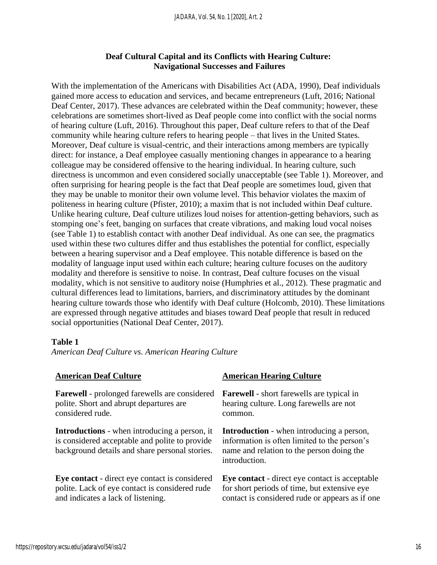# **Deaf Cultural Capital and its Conflicts with Hearing Culture: Navigational Successes and Failures**

With the implementation of the Americans with Disabilities Act (ADA, 1990), Deaf individuals gained more access to education and services, and became entrepreneurs (Luft, 2016; National Deaf Center, 2017). These advances are celebrated within the Deaf community; however, these celebrations are sometimes short-lived as Deaf people come into conflict with the social norms of hearing culture (Luft, 2016). Throughout this paper, Deaf culture refers to that of the Deaf community while hearing culture refers to hearing people – that lives in the United States. Moreover, Deaf culture is visual-centric, and their interactions among members are typically direct: for instance, a Deaf employee casually mentioning changes in appearance to a hearing colleague may be considered offensive to the hearing individual. In hearing culture, such directness is uncommon and even considered socially unacceptable (see Table 1). Moreover, and often surprising for hearing people is the fact that Deaf people are sometimes loud, given that they may be unable to monitor their own volume level. This behavior violates the maxim of politeness in hearing culture (Pfister, 2010); a maxim that is not included within Deaf culture. Unlike hearing culture, Deaf culture utilizes loud noises for attention-getting behaviors, such as stomping one's feet, banging on surfaces that create vibrations, and making loud vocal noises (see Table 1) to establish contact with another Deaf individual. As one can see, the pragmatics used within these two cultures differ and thus establishes the potential for conflict, especially between a hearing supervisor and a Deaf employee. This notable difference is based on the modality of language input used within each culture; hearing culture focuses on the auditory modality and therefore is sensitive to noise. In contrast, Deaf culture focuses on the visual modality, which is not sensitive to auditory noise (Humphries et al., 2012). These pragmatic and cultural differences lead to limitations, barriers, and discriminatory attitudes by the dominant hearing culture towards those who identify with Deaf culture (Holcomb, 2010). These limitations are expressed through negative attitudes and biases toward Deaf people that result in reduced social opportunities (National Deaf Center, 2017).

#### **Table 1**

*American Deaf Culture vs. American Hearing Culture* 

| <b>American Deaf Culture</b>                                                                                                                             | <b>American Hearing Culture</b>                                                                                                                                |
|----------------------------------------------------------------------------------------------------------------------------------------------------------|----------------------------------------------------------------------------------------------------------------------------------------------------------------|
| <b>Farewell</b> - prolonged farewells are considered                                                                                                     | <b>Farewell</b> - short farewells are typical in                                                                                                               |
| polite. Short and abrupt departures are                                                                                                                  | hearing culture. Long farewells are not                                                                                                                        |
| considered rude.                                                                                                                                         | common.                                                                                                                                                        |
| <b>Introductions</b> - when introducing a person, it<br>is considered acceptable and polite to provide<br>background details and share personal stories. | <b>Introduction</b> - when introducing a person,<br>information is often limited to the person's<br>name and relation to the person doing the<br>introduction. |
| Eye contact - direct eye contact is considered                                                                                                           | Eye contact - direct eye contact is acceptable                                                                                                                 |
| polite. Lack of eye contact is considered rude                                                                                                           | for short periods of time, but extensive eye                                                                                                                   |
| and indicates a lack of listening.                                                                                                                       | contact is considered rude or appears as if one                                                                                                                |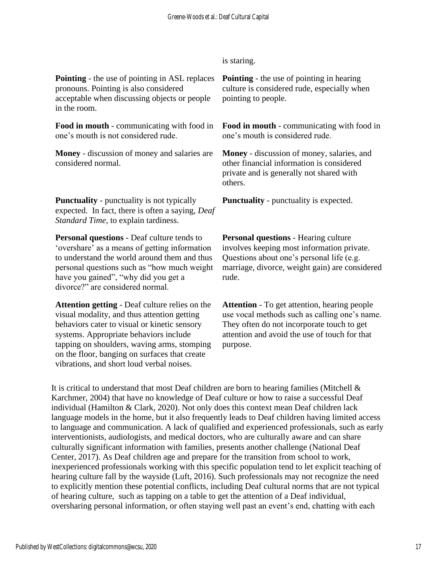is staring.

**Pointing** - the use of pointing in ASL replaces pronouns. Pointing is also considered acceptable when discussing objects or people in the room.

**Food in mouth** - communicating with food in one's mouth is not considered rude.

**Money** - discussion of money and salaries are considered normal.

**Punctuality** - punctuality is not typically expected. In fact, there is often a saying, *Deaf Standard Time,* to explain tardiness.

**Personal questions** - Deaf culture tends to 'overshare' as a means of getting information to understand the world around them and thus personal questions such as "how much weight have you gained", "why did you get a divorce?" are considered normal.

**Attention getting** - Deaf culture relies on the visual modality, and thus attention getting behaviors cater to visual or kinetic sensory systems. Appropriate behaviors include tapping on shoulders, waving arms, stomping on the floor, banging on surfaces that create vibrations, and short loud verbal noises.

**Pointing** - the use of pointing in hearing culture is considered rude, especially when pointing to people.

**Food in mouth** - communicating with food in one's mouth is considered rude.

**Money** - discussion of money, salaries, and other financial information is considered private and is generally not shared with others.

**Punctuality** - punctuality is expected.

**Personal questions** - Hearing culture involves keeping most information private. Questions about one's personal life (e.g. marriage, divorce, weight gain) are considered rude.

**Attention** - To get attention, hearing people use vocal methods such as calling one's name. They often do not incorporate touch to get attention and avoid the use of touch for that purpose.

It is critical to understand that most Deaf children are born to hearing families (Mitchell  $\&$ Karchmer, 2004) that have no knowledge of Deaf culture or how to raise a successful Deaf individual (Hamilton & Clark, 2020). Not only does this context mean Deaf children lack language models in the home, but it also frequently leads to Deaf children having limited access to language and communication. A lack of qualified and experienced professionals, such as early interventionists, audiologists, and medical doctors, who are culturally aware and can share culturally significant information with families, presents another challenge (National Deaf Center, 2017). As Deaf children age and prepare for the transition from school to work, inexperienced professionals working with this specific population tend to let explicit teaching of hearing culture fall by the wayside (Luft, 2016). Such professionals may not recognize the need to explicitly mention these potential conflicts, including Deaf cultural norms that are not typical of hearing culture, such as tapping on a table to get the attention of a Deaf individual, oversharing personal information, or often staying well past an event's end, chatting with each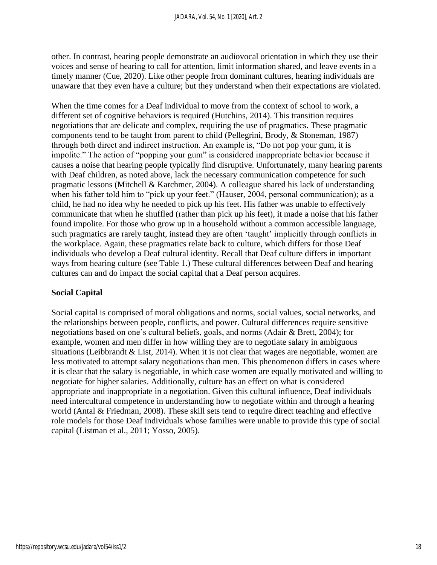other. In contrast, hearing people demonstrate an audiovocal orientation in which they use their voices and sense of hearing to call for attention, limit information shared, and leave events in a timely manner (Cue, 2020). Like other people from dominant cultures, hearing individuals are unaware that they even have a culture; but they understand when their expectations are violated.

When the time comes for a Deaf individual to move from the context of school to work, a different set of cognitive behaviors is required (Hutchins, 2014). This transition requires negotiations that are delicate and complex, requiring the use of pragmatics. These pragmatic components tend to be taught from parent to child (Pellegrini, Brody, & Stoneman, 1987) through both direct and indirect instruction. An example is, "Do not pop your gum, it is impolite." The action of "popping your gum" is considered inappropriate behavior because it causes a noise that hearing people typically find disruptive. Unfortunately, many hearing parents with Deaf children, as noted above, lack the necessary communication competence for such pragmatic lessons (Mitchell & Karchmer, 2004). A colleague shared his lack of understanding when his father told him to "pick up your feet." (Hauser, 2004, personal communication); as a child, he had no idea why he needed to pick up his feet. His father was unable to effectively communicate that when he shuffled (rather than pick up his feet), it made a noise that his father found impolite. For those who grow up in a household without a common accessible language, such pragmatics are rarely taught, instead they are often 'taught' implicitly through conflicts in the workplace. Again, these pragmatics relate back to culture, which differs for those Deaf individuals who develop a Deaf cultural identity. Recall that Deaf culture differs in important ways from hearing culture (see Table 1.) These cultural differences between Deaf and hearing cultures can and do impact the social capital that a Deaf person acquires.

# **Social Capital**

Social capital is comprised of moral obligations and norms, social values, social networks, and the relationships between people, conflicts, and power. Cultural differences require sensitive negotiations based on one's cultural beliefs, goals, and norms (Adair & Brett, 2004); for example, women and men differ in how willing they are to negotiate salary in ambiguous situations (Leibbrandt & List, 2014). When it is not clear that wages are negotiable, women are less motivated to attempt salary negotiations than men. This phenomenon differs in cases where it is clear that the salary is negotiable, in which case women are equally motivated and willing to negotiate for higher salaries. Additionally, culture has an effect on what is considered appropriate and inappropriate in a negotiation. Given this cultural influence, Deaf individuals need intercultural competence in understanding how to negotiate within and through a hearing world (Antal & Friedman, 2008). These skill sets tend to require direct teaching and effective role models for those Deaf individuals whose families were unable to provide this type of social capital (Listman et al., 2011; Yosso, 2005).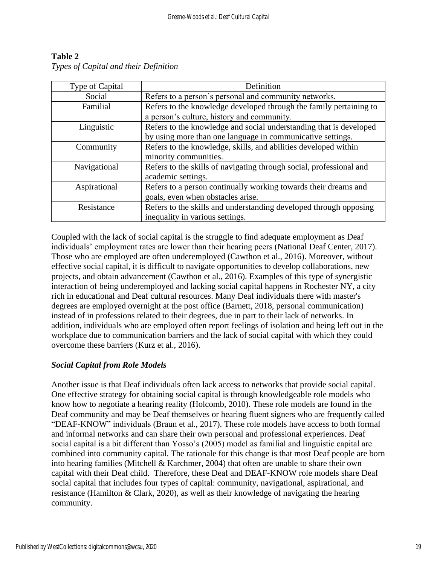| Type of Capital | Definition                                                          |
|-----------------|---------------------------------------------------------------------|
| Social          | Refers to a person's personal and community networks.               |
| Familial        | Refers to the knowledge developed through the family pertaining to  |
|                 | a person's culture, history and community.                          |
| Linguistic      | Refers to the knowledge and social understanding that is developed  |
|                 | by using more than one language in communicative settings.          |
| Community       | Refers to the knowledge, skills, and abilities developed within     |
|                 | minority communities.                                               |
| Navigational    | Refers to the skills of navigating through social, professional and |
|                 | academic settings.                                                  |
| Aspirational    | Refers to a person continually working towards their dreams and     |
|                 | goals, even when obstacles arise.                                   |
| Resistance      | Refers to the skills and understanding developed through opposing   |
|                 | inequality in various settings.                                     |

# **Table 2** *Types of Capital and their Definition*

Coupled with the lack of social capital is the struggle to find adequate employment as Deaf individuals' employment rates are lower than their hearing peers (National Deaf Center, 2017). Those who are employed are often underemployed (Cawthon et al., 2016). Moreover, without effective social capital, it is difficult to navigate opportunities to develop collaborations, new projects, and obtain advancement (Cawthon et al., 2016). Examples of this type of synergistic interaction of being underemployed and lacking social capital happens in Rochester NY, a city rich in educational and Deaf cultural resources. Many Deaf individuals there with master's degrees are employed overnight at the post office (Barnett, 2018, personal communication) instead of in professions related to their degrees, due in part to their lack of networks. In addition, individuals who are employed often report feelings of isolation and being left out in the workplace due to communication barriers and the lack of social capital with which they could overcome these barriers (Kurz et al., 2016).

# *Social Capital from Role Models*

Another issue is that Deaf individuals often lack access to networks that provide social capital. One effective strategy for obtaining social capital is through knowledgeable role models who know how to negotiate a hearing reality (Holcomb, 2010). These role models are found in the Deaf community and may be Deaf themselves or hearing fluent signers who are frequently called "DEAF-KNOW" individuals (Braun et al., 2017). These role models have access to both formal and informal networks and can share their own personal and professional experiences. Deaf social capital is a bit different than Yosso's (2005) model as familial and linguistic capital are combined into community capital. The rationale for this change is that most Deaf people are born into hearing families (Mitchell & Karchmer, 2004) that often are unable to share their own capital with their Deaf child. Therefore, these Deaf and DEAF-KNOW role models share Deaf social capital that includes four types of capital: community, navigational, aspirational, and resistance (Hamilton & Clark, 2020), as well as their knowledge of navigating the hearing community.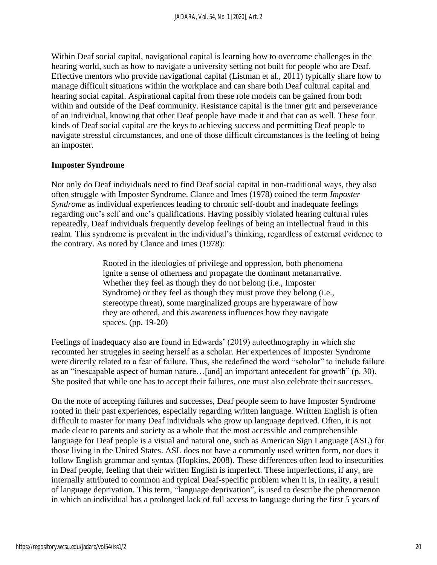Within Deaf social capital, navigational capital is learning how to overcome challenges in the hearing world, such as how to navigate a university setting not built for people who are Deaf. Effective mentors who provide navigational capital (Listman et al., 2011) typically share how to manage difficult situations within the workplace and can share both Deaf cultural capital and hearing social capital. Aspirational capital from these role models can be gained from both within and outside of the Deaf community. Resistance capital is the inner grit and perseverance of an individual, knowing that other Deaf people have made it and that can as well. These four kinds of Deaf social capital are the keys to achieving success and permitting Deaf people to navigate stressful circumstances, and one of those difficult circumstances is the feeling of being an imposter.

## **Imposter Syndrome**

Not only do Deaf individuals need to find Deaf social capital in non-traditional ways, they also often struggle with Imposter Syndrome. Clance and Imes (1978) coined the term *Imposter Syndrome* as individual experiences leading to chronic self-doubt and inadequate feelings regarding one's self and one's qualifications. Having possibly violated hearing cultural rules repeatedly, Deaf individuals frequently develop feelings of being an intellectual fraud in this realm. This syndrome is prevalent in the individual's thinking, regardless of external evidence to the contrary. As noted by Clance and Imes (1978):

> Rooted in the ideologies of privilege and oppression, both phenomena ignite a sense of otherness and propagate the dominant metanarrative. Whether they feel as though they do not belong (i.e., Imposter Syndrome) or they feel as though they must prove they belong (i.e., stereotype threat), some marginalized groups are hyperaware of how they are othered, and this awareness influences how they navigate spaces. (pp. 19-20)

Feelings of inadequacy also are found in Edwards' (2019) autoethnography in which she recounted her struggles in seeing herself as a scholar. Her experiences of Imposter Syndrome were directly related to a fear of failure. Thus, she redefined the word "scholar" to include failure as an "inescapable aspect of human nature…[and] an important antecedent for growth" (p. 30). She posited that while one has to accept their failures, one must also celebrate their successes.

On the note of accepting failures and successes, Deaf people seem to have Imposter Syndrome rooted in their past experiences, especially regarding written language. Written English is often difficult to master for many Deaf individuals who grow up language deprived. Often, it is not made clear to parents and society as a whole that the most accessible and comprehensible language for Deaf people is a visual and natural one, such as American Sign Language (ASL) for those living in the United States. ASL does not have a commonly used written form, nor does it follow English grammar and syntax (Hopkins, 2008). These differences often lead to insecurities in Deaf people, feeling that their written English is imperfect. These imperfections, if any, are internally attributed to common and typical Deaf-specific problem when it is, in reality, a result of language deprivation. This term, "language deprivation", is used to describe the phenomenon in which an individual has a prolonged lack of full access to language during the first 5 years of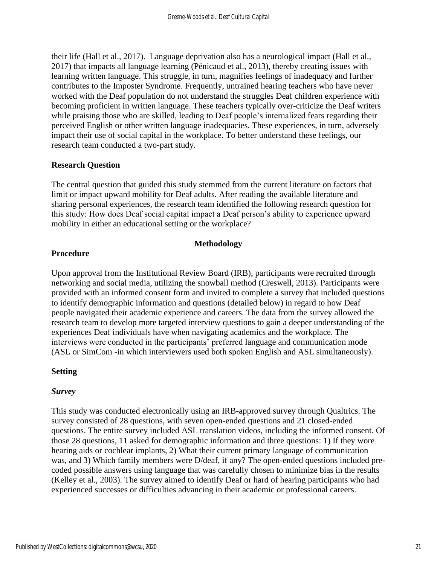their life (Hall et al., 2017). Language deprivation also has a neurological impact (Hall et al., 2017) that impacts all language learning (Pénicaud et al., 2013), thereby creating issues with learning written language. This struggle, in turn, magnifies feelings of inadequacy and further contributes to the Imposter Syndrome. Frequently, untrained hearing teachers who have never worked with the Deaf population do not understand the struggles Deaf children experience with becoming proficient in written language. These teachers typically over-criticize the Deaf writers while praising those who are skilled, leading to Deaf people's internalized fears regarding their perceived English or other written language inadequacies. These experiences, in turn, adversely impact their use of social capital in the workplace. To better understand these feelings, our research team conducted a two-part study.

# **Research Question**

The central question that guided this study stemmed from the current literature on factors that limit or impact upward mobility for Deaf adults. After reading the available literature and sharing personal experiences, the research team identified the following research question for this study: How does Deaf social capital impact a Deaf person's ability to experience upward mobility in either an educational setting or the workplace?

# **Methodology**

# **Procedure**

Upon approval from the Institutional Review Board (IRB), participants were recruited through networking and social media, utilizing the snowball method (Creswell, 2013). Participants were provided with an informed consent form and invited to complete a survey that included questions to identify demographic information and questions (detailed below) in regard to how Deaf people navigated their academic experience and careers. The data from the survey allowed the research team to develop more targeted interview questions to gain a deeper understanding of the experiences Deaf individuals have when navigating academics and the workplace. The interviews were conducted in the participants' preferred language and communication mode (ASL or SimCom -in which interviewers used both spoken English and ASL simultaneously).

# **Setting**

# *Survey*

This study was conducted electronically using an IRB-approved survey through Qualtrics. The survey consisted of 28 questions, with seven open-ended questions and 21 closed-ended questions. The entire survey included ASL translation videos, including the informed consent. Of those 28 questions, 11 asked for demographic information and three questions: 1) If they wore hearing aids or cochlear implants, 2) What their current primary language of communication was, and 3) Which family members were D/deaf, if any? The open-ended questions included precoded possible answers using language that was carefully chosen to minimize bias in the results (Kelley et al., 2003). The survey aimed to identify Deaf or hard of hearing participants who had experienced successes or difficulties advancing in their academic or professional careers.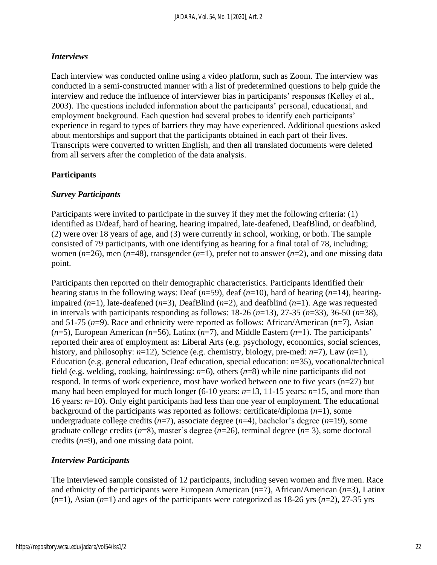## *Interviews*

Each interview was conducted online using a video platform, such as Zoom. The interview was conducted in a semi-constructed manner with a list of predetermined questions to help guide the interview and reduce the influence of interviewer bias in participants' responses (Kelley et al., 2003). The questions included information about the participants' personal, educational, and employment background. Each question had several probes to identify each participants' experience in regard to types of barriers they may have experienced. Additional questions asked about mentorships and support that the participants obtained in each part of their lives. Transcripts were converted to written English, and then all translated documents were deleted from all servers after the completion of the data analysis.

## **Participants**

## *Survey Participants*

Participants were invited to participate in the survey if they met the following criteria: (1) identified as D/deaf, hard of hearing, hearing impaired, late-deafened, DeafBlind, or deafblind, (2) were over 18 years of age, and (3) were currently in school, working, or both. The sample consisted of 79 participants, with one identifying as hearing for a final total of 78, including; women (*n*=26), men (*n*=48), transgender (*n*=1), prefer not to answer (*n*=2), and one missing data point.

Participants then reported on their demographic characteristics. Participants identified their hearing status in the following ways: Deaf (*n*=59), deaf (*n*=10), hard of hearing (*n*=14), hearingimpaired (*n*=1), late-deafened (*n*=3), DeafBlind (*n*=2), and deafblind (*n*=1). Age was requested in intervals with participants responding as follows: 18-26 (*n*=13), 27-35 (*n*=33), 36-50 (*n*=38), and 51-75 (*n*=9). Race and ethnicity were reported as follows: African/American (*n*=7), Asian (*n*=5), European American (*n*=56), Latinx (*n*=7), and Middle Eastern (*n*=1). The participants' reported their area of employment as: Liberal Arts (e.g. psychology, economics, social sciences, history, and philosophy: *n*=12), Science (e.g. chemistry, biology, pre-med: *n*=7), Law (*n*=1), Education (e.g. general education, Deaf education, special education: *n*=35), vocational/technical field (e.g. welding, cooking, hairdressing: *n*=6), others (*n*=8) while nine participants did not respond. In terms of work experience, most have worked between one to five years (n=27) but many had been employed for much longer (6-10 years:  $n=13$ , 11-15 years:  $n=15$ , and more than 16 years: *n*=10). Only eight participants had less than one year of employment. The educational background of the participants was reported as follows: certificate/diploma (*n*=1), some undergraduate college credits (*n*=7), associate degree (*n*=4), bachelor's degree (*n*=19), some graduate college credits (*n*=8), master's degree (*n*=26), terminal degree (*n*= 3), some doctoral credits (*n*=9), and one missing data point.

## *Interview Participants*

The interviewed sample consisted of 12 participants, including seven women and five men. Race and ethnicity of the participants were European American (*n*=7), African/American (*n*=3), Latinx  $(n=1)$ , Asian  $(n=1)$  and ages of the participants were categorized as 18-26 yrs  $(n=2)$ , 27-35 yrs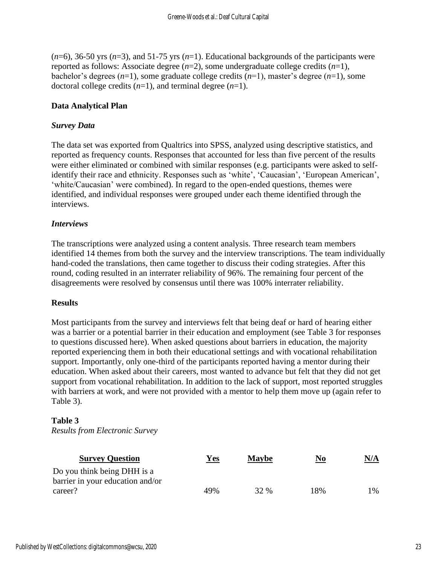(*n*=6), 36-50 yrs (*n*=3), and 51-75 yrs (*n*=1). Educational backgrounds of the participants were reported as follows: Associate degree (*n*=2), some undergraduate college credits (*n*=1), bachelor's degrees (*n*=1), some graduate college credits (*n*=1), master's degree (*n*=1), some doctoral college credits (*n*=1), and terminal degree (*n*=1).

# **Data Analytical Plan**

# *Survey Data*

The data set was exported from Qualtrics into SPSS, analyzed using descriptive statistics, and reported as frequency counts. Responses that accounted for less than five percent of the results were either eliminated or combined with similar responses (e.g. participants were asked to selfidentify their race and ethnicity. Responses such as 'white', 'Caucasian', 'European American', 'white/Caucasian' were combined). In regard to the open-ended questions, themes were identified, and individual responses were grouped under each theme identified through the interviews.

## *Interviews*

The transcriptions were analyzed using a content analysis. Three research team members identified 14 themes from both the survey and the interview transcriptions. The team individually hand-coded the translations, then came together to discuss their coding strategies. After this round, coding resulted in an interrater reliability of 96%. The remaining four percent of the disagreements were resolved by consensus until there was 100% interrater reliability.

## **Results**

Most participants from the survey and interviews felt that being deaf or hard of hearing either was a barrier or a potential barrier in their education and employment (see Table 3 for responses to questions discussed here). When asked questions about barriers in education, the majority reported experiencing them in both their educational settings and with vocational rehabilitation support. Importantly, only one-third of the participants reported having a mentor during their education. When asked about their careers, most wanted to advance but felt that they did not get support from vocational rehabilitation. In addition to the lack of support, most reported struggles with barriers at work, and were not provided with a mentor to help them move up (again refer to Table 3).

# **Table 3**

*Results from Electronic Survey* 

| <b>Survey Question</b>                                          | Yes | <b>Maybe</b> | N <sub>0</sub> | <u>N/A</u>    |
|-----------------------------------------------------------------|-----|--------------|----------------|---------------|
| Do you think being DHH is a<br>barrier in your education and/or |     |              |                |               |
| career?                                                         | 49% | 32 %         | 18%            | $\frac{0}{6}$ |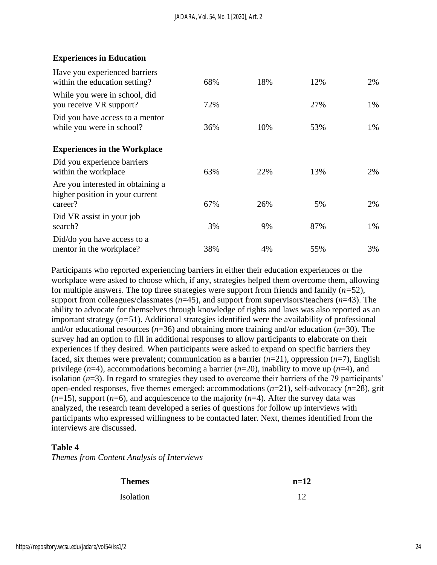## **Experiences in Education**

| Have you experienced barriers<br>within the education setting?                  | 68% | 18% | 12% | 2% |
|---------------------------------------------------------------------------------|-----|-----|-----|----|
| While you were in school, did<br>you receive VR support?                        | 72% |     | 27% | 1% |
| Did you have access to a mentor<br>while you were in school?                    | 36% | 10% | 53% | 1% |
| <b>Experiences in the Workplace</b>                                             |     |     |     |    |
| Did you experience barriers<br>within the workplace                             | 63% | 22% | 13% | 2% |
| Are you interested in obtaining a<br>higher position in your current<br>career? | 67% | 26% | 5%  | 2% |
| Did VR assist in your job                                                       |     |     |     |    |
| search?                                                                         | 3%  | 9%  | 87% | 1% |
| Did/do you have access to a<br>mentor in the workplace?                         | 38% | 4%  | 55% | 3% |

Participants who reported experiencing barriers in either their education experiences or the workplace were asked to choose which, if any, strategies helped them overcome them, allowing for multiple answers. The top three strategies were support from friends and family (*n=*52), support from colleagues/classmates (*n*=45), and support from supervisors/teachers (*n*=43). The ability to advocate for themselves through knowledge of rights and laws was also reported as an important strategy (*n=*51). Additional strategies identified were the availability of professional and/or educational resources (*n*=36) and obtaining more training and/or education (*n*=30). The survey had an option to fill in additional responses to allow participants to elaborate on their experiences if they desired. When participants were asked to expand on specific barriers they faced, six themes were prevalent; communication as a barrier (*n*=21), oppression (*n*=7), English privilege (*n*=4), accommodations becoming a barrier (*n*=20), inability to move up (*n*=4), and isolation (*n*=3). In regard to strategies they used to overcome their barriers of the 79 participants' open-ended responses, five themes emerged: accommodations (*n*=21)*,* self-advocacy (*n*=28)*,* grit  $(n=15)$ , support  $(n=6)$ , and acquiescence to the majority  $(n=4)$ . After the survey data was analyzed, the research team developed a series of questions for follow up interviews with participants who expressed willingness to be contacted later. Next, themes identified from the interviews are discussed.

## **Table 4**

*Themes from Content Analysis of Interviews*

| <b>Themes</b> | $n=12$ |
|---------------|--------|
| Isolation     | 12     |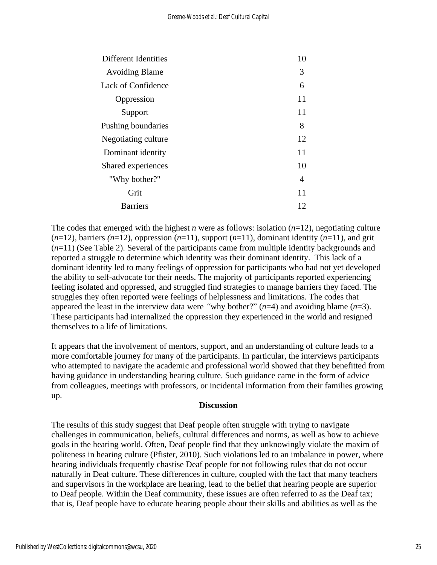| Different Identities      | 10 |
|---------------------------|----|
| <b>Avoiding Blame</b>     | 3  |
| <b>Lack of Confidence</b> | 6  |
| Oppression                | 11 |
| Support                   | 11 |
| Pushing boundaries        | 8  |
| Negotiating culture       | 12 |
| Dominant identity         | 11 |
| Shared experiences        | 10 |
| "Why bother?"             | 4  |
| Grit                      | 11 |
| <b>Barriers</b>           | 12 |
|                           |    |

The codes that emerged with the highest *n* were as follows: isolation  $(n=12)$ , negotiating culture  $(n=12)$ , barriers  $(n=12)$ , oppression  $(n=11)$ , support  $(n=11)$ , dominant identity  $(n=11)$ , and grit (*n*=11) (See Table 2). Several of the participants came from multiple identity backgrounds and reported a struggle to determine which identity was their dominant identity. This lack of a dominant identity led to many feelings of oppression for participants who had not yet developed the ability to self-advocate for their needs. The majority of participants reported experiencing feeling isolated and oppressed, and struggled find strategies to manage barriers they faced. The struggles they often reported were feelings of helplessness and limitations. The codes that appeared the least in the interview data were "why bother?"  $(n=4)$  and avoiding blame  $(n=3)$ . These participants had internalized the oppression they experienced in the world and resigned themselves to a life of limitations.

It appears that the involvement of mentors, support, and an understanding of culture leads to a more comfortable journey for many of the participants. In particular, the interviews participants who attempted to navigate the academic and professional world showed that they benefitted from having guidance in understanding hearing culture. Such guidance came in the form of advice from colleagues, meetings with professors, or incidental information from their families growing up.

## **Discussion**

The results of this study suggest that Deaf people often struggle with trying to navigate challenges in communication, beliefs, cultural differences and norms, as well as how to achieve goals in the hearing world. Often, Deaf people find that they unknowingly violate the maxim of politeness in hearing culture (Pfister, 2010). Such violations led to an imbalance in power, where hearing individuals frequently chastise Deaf people for not following rules that do not occur naturally in Deaf culture. These differences in culture, coupled with the fact that many teachers and supervisors in the workplace are hearing, lead to the belief that hearing people are superior to Deaf people. Within the Deaf community, these issues are often referred to as the Deaf tax; that is, Deaf people have to educate hearing people about their skills and abilities as well as the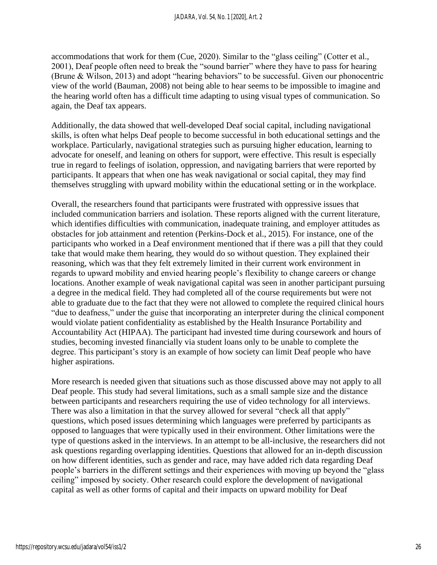accommodations that work for them (Cue, 2020). Similar to the "glass ceiling" (Cotter et al., 2001), Deaf people often need to break the "sound barrier" where they have to pass for hearing (Brune & Wilson, 2013) and adopt "hearing behaviors" to be successful. Given our phonocentric view of the world (Bauman, 2008) not being able to hear seems to be impossible to imagine and the hearing world often has a difficult time adapting to using visual types of communication. So again, the Deaf tax appears.

Additionally, the data showed that well-developed Deaf social capital, including navigational skills, is often what helps Deaf people to become successful in both educational settings and the workplace. Particularly, navigational strategies such as pursuing higher education, learning to advocate for oneself, and leaning on others for support, were effective. This result is especially true in regard to feelings of isolation, oppression, and navigating barriers that were reported by participants. It appears that when one has weak navigational or social capital, they may find themselves struggling with upward mobility within the educational setting or in the workplace.

Overall, the researchers found that participants were frustrated with oppressive issues that included communication barriers and isolation. These reports aligned with the current literature, which identifies difficulties with communication, inadequate training, and employer attitudes as obstacles for job attainment and retention (Perkins-Dock et al., 2015). For instance, one of the participants who worked in a Deaf environment mentioned that if there was a pill that they could take that would make them hearing, they would do so without question. They explained their reasoning, which was that they felt extremely limited in their current work environment in regards to upward mobility and envied hearing people's flexibility to change careers or change locations. Another example of weak navigational capital was seen in another participant pursuing a degree in the medical field. They had completed all of the course requirements but were not able to graduate due to the fact that they were not allowed to complete the required clinical hours "due to deafness," under the guise that incorporating an interpreter during the clinical component would violate patient confidentiality as established by the Health Insurance Portability and Accountability Act (HIPAA). The participant had invested time during coursework and hours of studies, becoming invested financially via student loans only to be unable to complete the degree. This participant's story is an example of how society can limit Deaf people who have higher aspirations.

More research is needed given that situations such as those discussed above may not apply to all Deaf people. This study had several limitations, such as a small sample size and the distance between participants and researchers requiring the use of video technology for all interviews. There was also a limitation in that the survey allowed for several "check all that apply" questions, which posed issues determining which languages were preferred by participants as opposed to languages that were typically used in their environment. Other limitations were the type of questions asked in the interviews. In an attempt to be all-inclusive, the researchers did not ask questions regarding overlapping identities. Questions that allowed for an in-depth discussion on how different identities, such as gender and race, may have added rich data regarding Deaf people's barriers in the different settings and their experiences with moving up beyond the "glass ceiling" imposed by society. Other research could explore the development of navigational capital as well as other forms of capital and their impacts on upward mobility for Deaf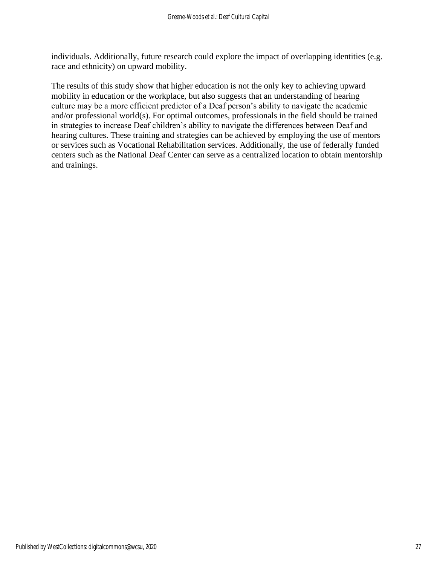individuals. Additionally, future research could explore the impact of overlapping identities (e.g. race and ethnicity) on upward mobility.

The results of this study show that higher education is not the only key to achieving upward mobility in education or the workplace, but also suggests that an understanding of hearing culture may be a more efficient predictor of a Deaf person's ability to navigate the academic and/or professional world(s). For optimal outcomes, professionals in the field should be trained in strategies to increase Deaf children's ability to navigate the differences between Deaf and hearing cultures. These training and strategies can be achieved by employing the use of mentors or services such as Vocational Rehabilitation services. Additionally, the use of federally funded centers such as the National Deaf Center can serve as a centralized location to obtain mentorship and trainings.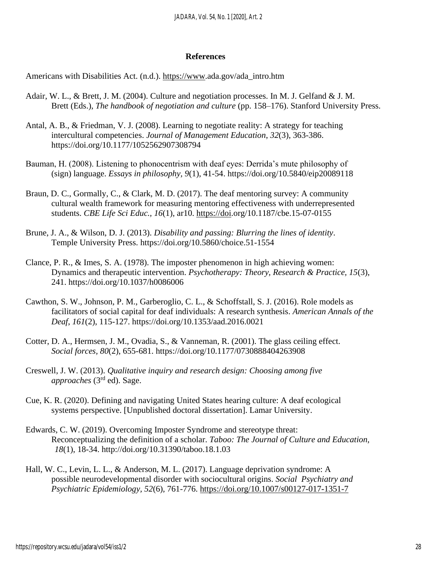#### **References**

Americans with Disabilities Act. (n.d.). [https://www.](https://www/)ada.gov/ada\_intro.htm

- Adair, W. L., & Brett, J. M. (2004). Culture and negotiation processes. In M. J. Gelfand & J. M. Brett (Eds.), *The handbook of negotiation and culture* (pp. 158–176). Stanford University Press.
- Antal, A. B., & Friedman, V. J. (2008). Learning to negotiate reality: A strategy for teaching intercultural competencies. *Journal of Management Education*, *32*(3), 363-386. https://doi.org/10.1177/1052562907308794
- Bauman, H. (2008). Listening to phonocentrism with deaf eyes: Derrida's mute philosophy of (sign) language. *Essays in philosophy, 9*(1), 41-54. <https://doi.org/10.5840/eip20089118>
- Braun, D. C., Gormally, C., & Clark, M. D. (2017). The deaf mentoring survey: A community cultural wealth framework for measuring mentoring effectiveness with underrepresented students. *CBE Life Sci Educ., 16*(1), ar10. [https://doi.](https://doi/)org/10.1187/cbe.15-07-0155
- Brune, J. A., & Wilson, D. J. (2013). *Disability and passing: Blurring the lines of identity*. Temple University Press.<https://doi.org/10.5860/choice.51-1554>
- Clance, P. R., & Imes, S. A. (1978). The imposter phenomenon in high achieving women: Dynamics and therapeutic intervention. *Psychotherapy: Theory, Research & Practice, 15*(3), 241.<https://doi.org/10.1037/h0086006>
- Cawthon, S. W., Johnson, P. M., Garberoglio, C. L., & Schoffstall, S. J. (2016). Role models as facilitators of social capital for deaf individuals: A research synthesis. *American Annals of the Deaf*, *161*(2), 115-127. https://doi.org[/10.1353/aad.2016.0021](https://www.researchgate.net/deref/http%3A%2F%2Fdx.doi.org%2F10.1353%2Faad.2016.0021?_sg%5B0%5D=UEWpYD35hqhcdEyty-vwVv3DLAwiWmzO-HS8IG6Hmns3Gfdtl-3mePZOxHM9vyMIGQZ5b1XsZRRmHc0eJoLyjaMG3Q.yrwEH8uFdJIjGh1Gu_Xhz1FMilJzD3Cdkkt2zkAJOa0BCHBx8cimht4BJKdnLfm00TtLsq8KbFYtpaeo2wSrSw)
- Cotter, D. A., Hermsen, J. M., Ovadia, S., & Vanneman, R. (2001). The glass ceiling effect. *Social forces, 80*(2), 655-681. [https://doi.org/10.1177/0730888404263908](https://doi.org/10.1177%2F0730888404263908)
- Creswell, J. W. (2013). *Qualitative inquiry and research design: Choosing among five approaches* (3rd ed). Sage.
- Cue, K. R. (2020). Defining and navigating United States hearing culture: A deaf ecological systems perspective. [Unpublished doctoral dissertation]. Lamar University.
- Edwards, C. W. (2019). Overcoming Imposter Syndrome and stereotype threat: Reconceptualizing the definition of a scholar. *Taboo: The Journal of Culture and Education, 18*(1), 18-34. http://doi.org[/10.31390/taboo.18.1.03](https://www.researchgate.net/deref/http%3A%2F%2Fdx.doi.org%2F10.31390%2Ftaboo.18.1.03)
- Hall, W. C., Levin, L. L., & Anderson, M. L. (2017). Language deprivation syndrome: A possible neurodevelopmental disorder with sociocultural origins. *Social Psychiatry and Psychiatric Epidemiology, 52*(6), 761-776. <https://doi.org/10.1007/s00127-017-1351-7>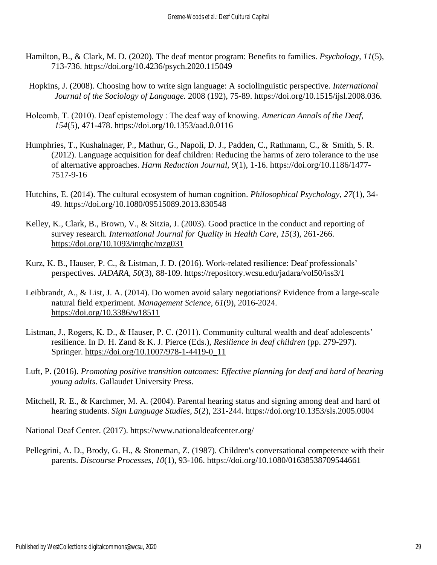- Hamilton, B., & Clark, M. D. (2020). The deaf mentor program: Benefits to families. *Psychology, 11*(5), 713-736. https://doi.org/10.4236/psych.2020.115049
- Hopkins, J. (2008). Choosing how to write sign language: A sociolinguistic perspective. *International Journal of the Sociology of Language.* 2008 (192), 75-89. https://doi.org/10.1515/ijsl.2008.036*.*
- Holcomb, T. (2010). Deaf epistemology : The deaf way of knowing. *American Annals of the Deaf*, *154*(5), 471-478. https://doi.org[/10.1353/aad.0.0116](https://doi.org/10.1353/aad.0.0116)
- Humphries, T., Kushalnager, P., Mathur, G., Napoli, D. J., Padden, C., Rathmann, C., & Smith, S. R. (2012). Language acquisition for deaf children: Reducing the harms of zero tolerance to the use of alternative approaches. *Harm Reduction Journal, 9*(1), 1-16. https://doi.org/10.1186/1477- 7517-9-16
- Hutchins, E. (2014). The cultural ecosystem of human cognition. *Philosophical Psychology*, *27*(1), 34- 49.<https://doi.org/10.1080/09515089.2013.830548>
- Kelley, K., Clark, B., Brown, V., & Sitzia, J. (2003). Good practice in the conduct and reporting of survey research. *International Journal for Quality in Health Care, 15*(3), 261-266. <https://doi.org/10.1093/intqhc/mzg031>
- Kurz, K. B., Hauser, P. C., & Listman, J. D. (2016). Work-related resilience: Deaf professionals' perspectives. *JADARA, 50*(3), 88-109.<https://repository.wcsu.edu/jadara/vol50/iss3/1>
- Leibbrandt, A., & List, J. A. (2014). Do women avoid salary negotiations? Evidence from a large-scale natural field experiment. *Management Science, 61*(9), 2016-2024. <https://doi.org/10.3386/w18511>
- Listman, J., Rogers, K. D., & Hauser, P. C. (2011). Community cultural wealth and deaf adolescents' resilience. In D. H. Zand & K. J. Pierce (Eds.), *Resilience in deaf children* (pp. 279-297). Springer. [https://doi.org/10.1007/978-1-4419-0\\_11](https://doi.org/10.1007/978-1-4419-0_11)
- Luft, P. (2016). *Promoting positive transition outcomes: Effective planning for deaf and hard of hearing young adults*. Gallaudet University Press.
- Mitchell, R. E., & Karchmer, M. A. (2004). Parental hearing status and signing among deaf and hard of hearing students. *Sign Language Studies, 5*(2), 231-244.<https://doi.org/10.1353/sls.2005.0004>

National Deaf Center. (2017).<https://www.nationaldeafcenter.org/>

Pellegrini, A. D., Brody, G. H., & Stoneman, Z. (1987). Children's conversational competence with their parents. *Discourse Processes, 10*(1), 93-106. https://doi.org/10.1080/01638538709544661